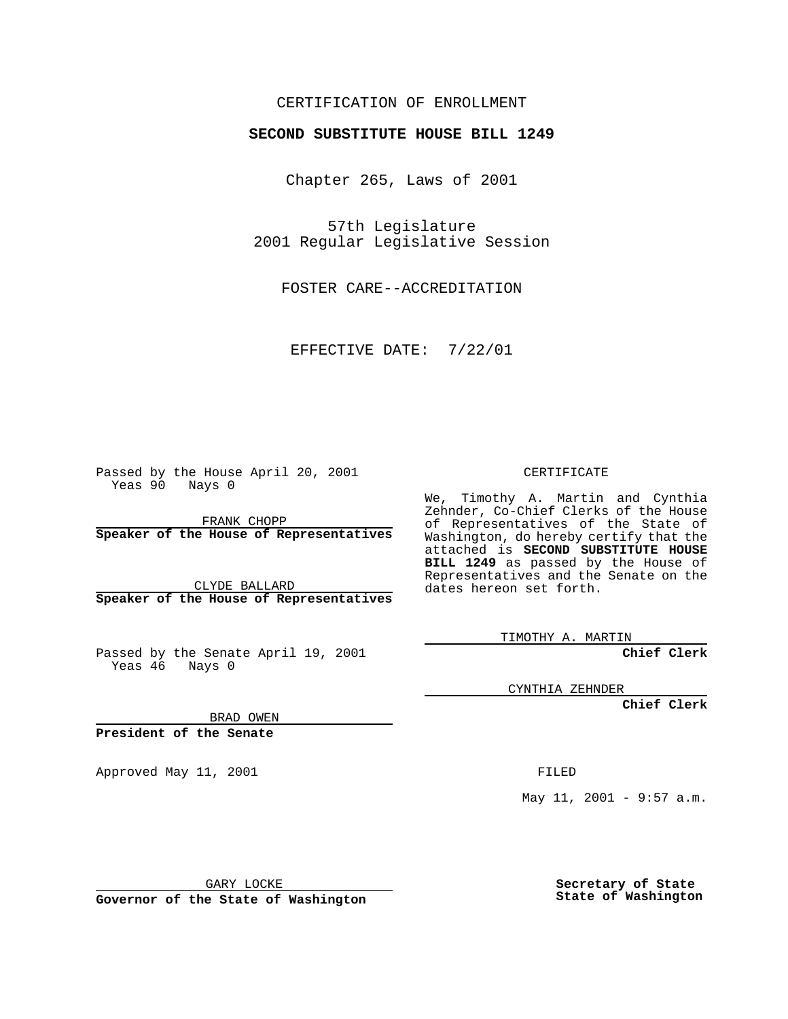### CERTIFICATION OF ENROLLMENT

# **SECOND SUBSTITUTE HOUSE BILL 1249**

Chapter 265, Laws of 2001

57th Legislature 2001 Regular Legislative Session

FOSTER CARE--ACCREDITATION

EFFECTIVE DATE: 7/22/01

Passed by the House April 20, 2001 Yeas 90 Nays 0

FRANK CHOPP **Speaker of the House of Representatives**

CLYDE BALLARD **Speaker of the House of Representatives**

Passed by the Senate April 19, 2001 Yeas 46 Nays 0

CERTIFICATE

We, Timothy A. Martin and Cynthia Zehnder, Co-Chief Clerks of the House of Representatives of the State of Washington, do hereby certify that the attached is **SECOND SUBSTITUTE HOUSE BILL 1249** as passed by the House of Representatives and the Senate on the dates hereon set forth.

TIMOTHY A. MARTIN

**Chief Clerk**

CYNTHIA ZEHNDER

**Chief Clerk**

BRAD OWEN

**President of the Senate**

Approved May 11, 2001 FILED

May 11, 2001 - 9:57  $a.m.$ 

GARY LOCKE

**Governor of the State of Washington**

**Secretary of State State of Washington**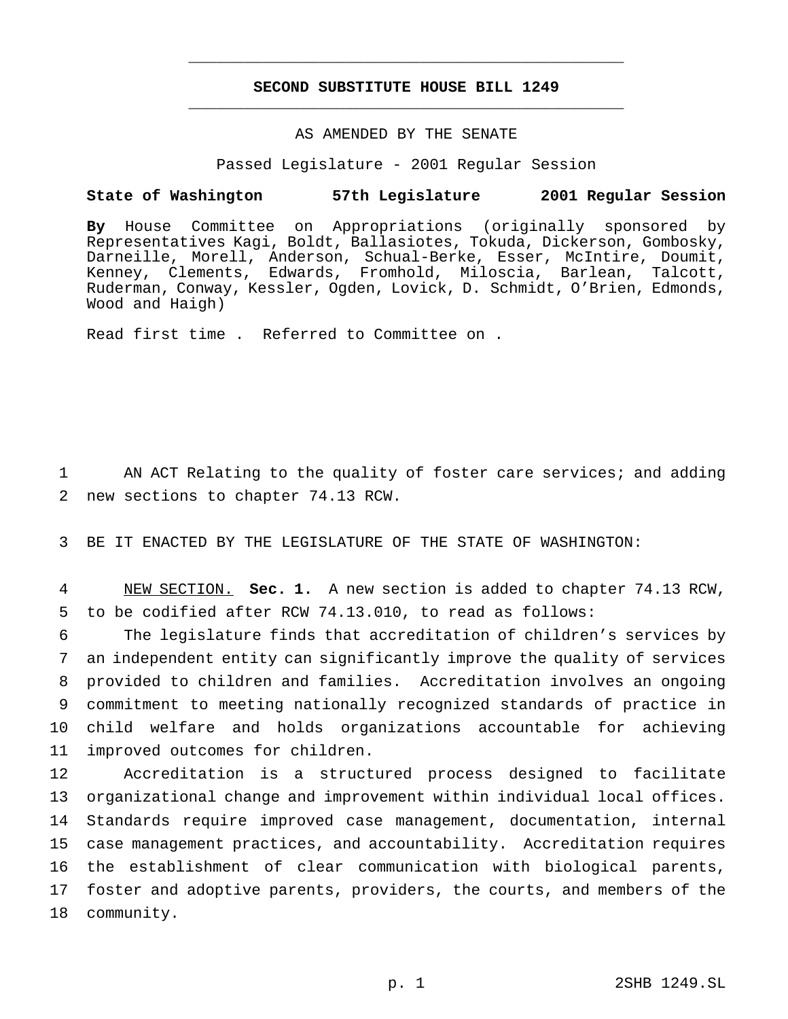## **SECOND SUBSTITUTE HOUSE BILL 1249** \_\_\_\_\_\_\_\_\_\_\_\_\_\_\_\_\_\_\_\_\_\_\_\_\_\_\_\_\_\_\_\_\_\_\_\_\_\_\_\_\_\_\_\_\_\_\_

\_\_\_\_\_\_\_\_\_\_\_\_\_\_\_\_\_\_\_\_\_\_\_\_\_\_\_\_\_\_\_\_\_\_\_\_\_\_\_\_\_\_\_\_\_\_\_

# AS AMENDED BY THE SENATE

Passed Legislature - 2001 Regular Session

#### **State of Washington 57th Legislature 2001 Regular Session**

**By** House Committee on Appropriations (originally sponsored by Representatives Kagi, Boldt, Ballasiotes, Tokuda, Dickerson, Gombosky, Darneille, Morell, Anderson, Schual-Berke, Esser, McIntire, Doumit, Kenney, Clements, Edwards, Fromhold, Miloscia, Barlean, Talcott, Ruderman, Conway, Kessler, Ogden, Lovick, D. Schmidt, O'Brien, Edmonds, Wood and Haigh)

Read first time . Referred to Committee on .

1 AN ACT Relating to the quality of foster care services; and adding 2 new sections to chapter 74.13 RCW.

3 BE IT ENACTED BY THE LEGISLATURE OF THE STATE OF WASHINGTON:

4 NEW SECTION. **Sec. 1.** A new section is added to chapter 74.13 RCW, 5 to be codified after RCW 74.13.010, to read as follows:

 The legislature finds that accreditation of children's services by an independent entity can significantly improve the quality of services provided to children and families. Accreditation involves an ongoing commitment to meeting nationally recognized standards of practice in child welfare and holds organizations accountable for achieving improved outcomes for children.

 Accreditation is a structured process designed to facilitate organizational change and improvement within individual local offices. Standards require improved case management, documentation, internal case management practices, and accountability. Accreditation requires the establishment of clear communication with biological parents, foster and adoptive parents, providers, the courts, and members of the community.